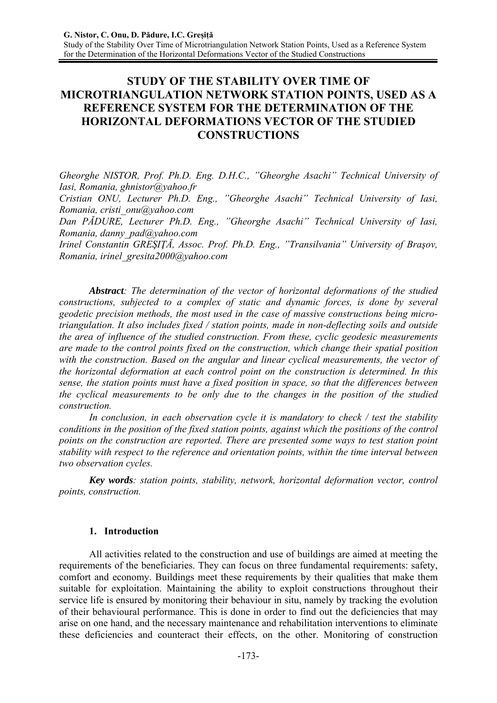# **STUDY OF THE STABILITY OVER TIME OF MICROTRIANGULATION NETWORK STATION POINTS, USED AS A REFERENCE SYSTEM FOR THE DETERMINATION OF THE HORIZONTAL DEFORMATIONS VECTOR OF THE STUDIED CONSTRUCTIONS**

*Gheorghe NISTOR, Prof. Ph.D. Eng. D.H.C., "Gheorghe Asachi" Technical University of Iasi, Romania, ghnistor@yahoo.fr* 

*Cristian ONU, Lecturer Ph.D. Eng., "Gheorghe Asachi" Technical University of Iasi, Romania, cristi\_onu@yahoo.com*

*Dan PĂDURE, Lecturer Ph.D. Eng., "Gheorghe Asachi" Technical University of Iasi, Romania, danny\_pad@yahoo.com* 

*Irinel Constantin GREŞIŢĂ, Assoc. Prof. Ph.D. Eng., "Transilvania" University of Braşov, Romania, irinel\_gresita2000@yahoo.com* 

*Abstract: The determination of the vector of horizontal deformations of the studied constructions, subjected to a complex of static and dynamic forces, is done by several geodetic precision methods, the most used in the case of massive constructions being microtriangulation. It also includes fixed / station points, made in non-deflecting soils and outside the area of influence of the studied construction. From these, cyclic geodesic measurements are made to the control points fixed on the construction, which change their spatial position with the construction. Based on the angular and linear cyclical measurements, the vector of the horizontal deformation at each control point on the construction is determined. In this sense, the station points must have a fixed position in space, so that the differences between the cyclical measurements to be only due to the changes in the position of the studied construction.* 

*In conclusion, in each observation cycle it is mandatory to check / test the stability conditions in the position of the fixed station points, against which the positions of the control points on the construction are reported. There are presented some ways to test station point stability with respect to the reference and orientation points, within the time interval between two observation cycles.* 

*Key words: station points, stability, network, horizontal deformation vector, control points, construction.* 

## **1. Introduction**

All activities related to the construction and use of buildings are aimed at meeting the requirements of the beneficiaries. They can focus on three fundamental requirements: safety, comfort and economy. Buildings meet these requirements by their qualities that make them suitable for exploitation. Maintaining the ability to exploit constructions throughout their service life is ensured by monitoring their behaviour in situ, namely by tracking the evolution of their behavioural performance. This is done in order to find out the deficiencies that may arise on one hand, and the necessary maintenance and rehabilitation interventions to eliminate these deficiencies and counteract their effects, on the other. Monitoring of construction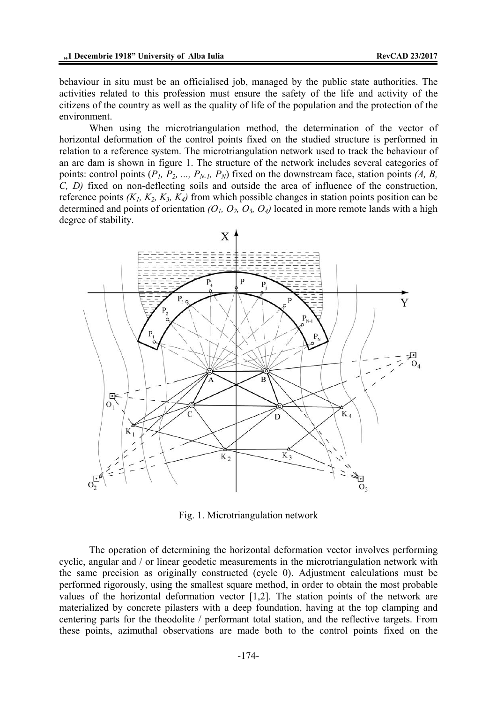behaviour in situ must be an officialised job, managed by the public state authorities. The activities related to this profession must ensure the safety of the life and activity of the citizens of the country as well as the quality of life of the population and the protection of the environment.

When using the microtriangulation method, the determination of the vector of horizontal deformation of the control points fixed on the studied structure is performed in relation to a reference system. The microtriangulation network used to track the behaviour of an arc dam is shown in figure 1. The structure of the network includes several categories of points: control points  $(P_1, P_2, ..., P_{N-1}, P_N)$  fixed on the downstream face, station points  $(A, B, P_N)$ *C, D)* fixed on non-deflecting soils and outside the area of influence of the construction, reference points  $(K_1, K_2, K_3, K_4)$  from which possible changes in station points position can be determined and points of orientation  $(O_1, O_2, O_3, O_4)$  located in more remote lands with a high degree of stability.



Fig. 1. Microtriangulation network

The operation of determining the horizontal deformation vector involves performing cyclic, angular and / or linear geodetic measurements in the microtriangulation network with the same precision as originally constructed (cycle 0). Adjustment calculations must be performed rigorously, using the smallest square method, in order to obtain the most probable values of the horizontal deformation vector [1,2]. The station points of the network are materialized by concrete pilasters with a deep foundation, having at the top clamping and centering parts for the theodolite / performant total station, and the reflective targets. From these points, azimuthal observations are made both to the control points fixed on the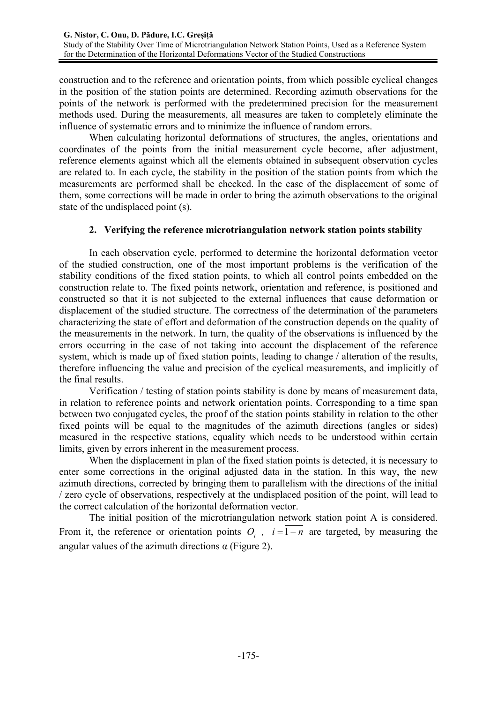construction and to the reference and orientation points, from which possible cyclical changes in the position of the station points are determined. Recording azimuth observations for the points of the network is performed with the predetermined precision for the measurement methods used. During the measurements, all measures are taken to completely eliminate the influence of systematic errors and to minimize the influence of random errors.

When calculating horizontal deformations of structures, the angles, orientations and coordinates of the points from the initial measurement cycle become, after adjustment, reference elements against which all the elements obtained in subsequent observation cycles are related to. In each cycle, the stability in the position of the station points from which the measurements are performed shall be checked. In the case of the displacement of some of them, some corrections will be made in order to bring the azimuth observations to the original state of the undisplaced point (s).

# **2. Verifying the reference microtriangulation network station points stability**

In each observation cycle, performed to determine the horizontal deformation vector of the studied construction, one of the most important problems is the verification of the stability conditions of the fixed station points, to which all control points embedded on the construction relate to. The fixed points network, orientation and reference, is positioned and constructed so that it is not subjected to the external influences that cause deformation or displacement of the studied structure. The correctness of the determination of the parameters characterizing the state of effort and deformation of the construction depends on the quality of the measurements in the network. In turn, the quality of the observations is influenced by the errors occurring in the case of not taking into account the displacement of the reference system, which is made up of fixed station points, leading to change / alteration of the results, therefore influencing the value and precision of the cyclical measurements, and implicitly of the final results.

Verification / testing of station points stability is done by means of measurement data, in relation to reference points and network orientation points. Corresponding to a time span between two conjugated cycles, the proof of the station points stability in relation to the other fixed points will be equal to the magnitudes of the azimuth directions (angles or sides) measured in the respective stations, equality which needs to be understood within certain limits, given by errors inherent in the measurement process.

When the displacement in plan of the fixed station points is detected, it is necessary to enter some corrections in the original adjusted data in the station. In this way, the new azimuth directions, corrected by bringing them to parallelism with the directions of the initial / zero cycle of observations, respectively at the undisplaced position of the point, will lead to the correct calculation of the horizontal deformation vector.

The initial position of the microtriangulation network station point A is considered. From it, the reference or orientation points  $O_i$ ,  $i = \overline{1 - n}$  are targeted, by measuring the angular values of the azimuth directions  $\alpha$  (Figure 2).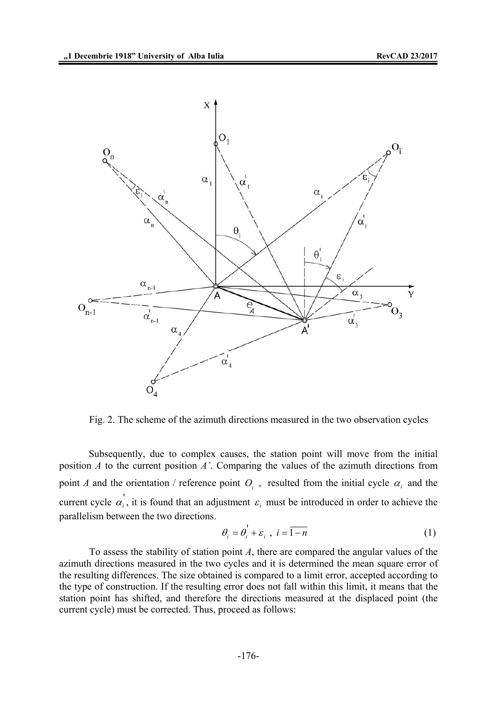

Fig. 2. The scheme of the azimuth directions measured in the two observation cycles

Subsequently, due to complex causes, the station point will move from the initial position *A* to the current position *A'*. Comparing the values of the azimuth directions from point *A* and the orientation / reference point  $O_i$ , resulted from the initial cycle  $\alpha_i$  and the current cycle  $\alpha'_{i}$ , it is found that an adjustment  $\varepsilon_{i}$  must be introduced in order to achieve the parallelism between the two directions.

$$
\theta_i = \theta_i^{\dagger} + \varepsilon_i , i = \overline{1 - n}
$$
 (1)

To assess the stability of station point *A*, there are compared the angular values of the azimuth directions measured in the two cycles and it is determined the mean square error of the resulting differences. The size obtained is compared to a limit error, accepted according to the type of construction. If the resulting error does not fall within this limit, it means that the station point has shifted, and therefore the directions measured at the displaced point (the current cycle) must be corrected. Thus, proceed as follows: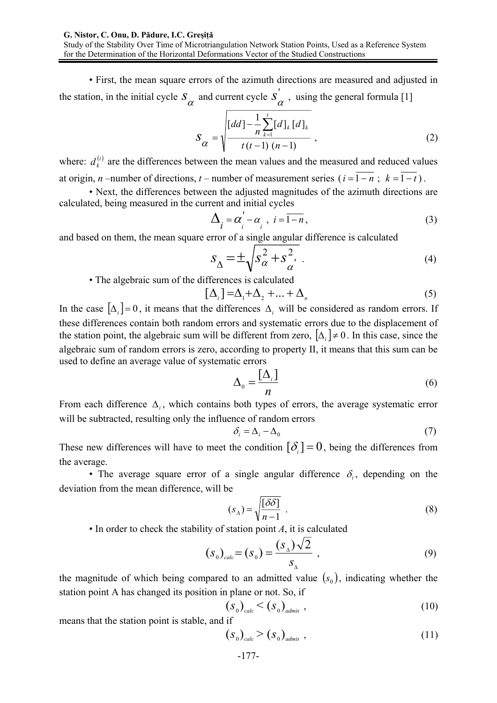Study of the Stability Over Time of Microtriangulation Network Station Points, Used as a Reference System for the Determination of the Horizontal Deformations Vector of the Studied Constructions

• First, the mean square errors of the azimuth directions are measured and adjusted in the station, in the initial cycle  $S_{\alpha}$  and current cycle  $S_{\alpha}$ , using the general formula [1]

$$
S_{\alpha} = \sqrt{\frac{\left[dd\right] - \frac{1}{n} \sum_{k=1}^{t} \left[d\right]_{k} \left[d\right]_{k}}{t(t-1) \left(n-1\right)}} \tag{2}
$$

where:  $d_k^{(i)}$  are the differences between the mean values and the measured and reduced values at origin, *n* –number of directions, *t* – number of measurement series ( $i = \overline{1 - n}$ ;  $k = \overline{1 - t}$ ).

 • Next, the differences between the adjusted magnitudes of the azimuth directions are calculated, being measured in the current and initial cycles

$$
\Delta_i = \alpha_i' - \alpha_i, \ i = \overline{1 - n}, \tag{3}
$$

and based on them, the mean square error of a single angular difference is calculated

$$
S_{\Delta} = \pm \sqrt{S_{\alpha}^2 + S_{\alpha}^2}.
$$
 (4)

• The algebraic sum of the differences is calculated

$$
[\Delta_i] = \Delta_1 + \Delta_2 + \dots + \Delta_n \tag{5}
$$

In the case  $[\Delta_i] = 0$ , it means that the differences  $\Delta_i$  will be considered as random errors. If these differences contain both random errors and systematic errors due to the displacement of the station point, the algebraic sum will be different from zero,  $[\Delta_i] \neq 0$ . In this case, since the algebraic sum of random errors is zero, according to property II, it means that this sum can be used to define an average value of systematic errors

$$
\Delta_0 = \frac{\left[\Delta_i\right]}{n} \tag{6}
$$

From each difference  $\Delta_i$ , which contains both types of errors, the average systematic error will be subtracted, resulting only the influence of random errors

$$
\delta_i = \Delta_i - \Delta_0 \tag{7}
$$

These new differences will have to meet the condition  $[\delta] = 0$ , being the differences from the average.

• The average square error of a single angular difference  $\delta_i$ , depending on the deviation from the mean difference, will be

$$
(s_{\Delta}) = \sqrt{\frac{[\delta \delta]}{n-1}} \tag{8}
$$

• In order to check the stability of station point *A*, it is calculated

$$
(s0)calc = (s0) = \frac{(sA)\sqrt{2}}{sA} ,
$$
 (9)

the magnitude of which being compared to an admitted value  $(s_0)$ , indicating whether the station point A has changed its position in plane or not. So, if

$$
\left(S_0\right)_{calc} < \left(S_0\right)_{admis} \tag{10}
$$

means that the station point is stable, and if

$$
(S_0)_{calc} > (S_0)_{admis} ,
$$
 (11)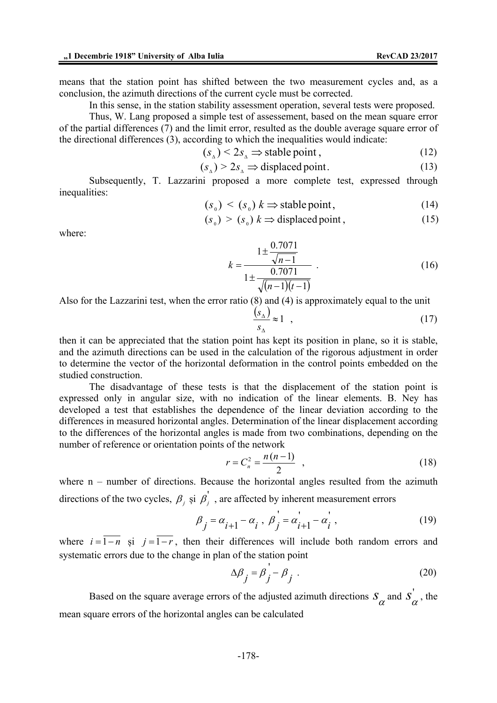means that the station point has shifted between the two measurement cycles and, as a conclusion, the azimuth directions of the current cycle must be corrected.

In this sense, in the station stability assessment operation, several tests were proposed.

Thus, W. Lang proposed a simple test of assessement, based on the mean square error of the partial differences (7) and the limit error, resulted as the double average square error of the directional differences (3), according to which the inequalities would indicate:

$$
(s_{\mathbf{A}}) < 2s_{\mathbf{A}} \implies \text{stable point}, \tag{12}
$$

$$
(s_{\mathbf{A}}) > 2s_{\mathbf{A}} \Rightarrow \text{displaced point.} \tag{13}
$$

Subsequently, T. Lazzarini proposed a more complete test, expressed through inequalities:

$$
(s0) < (s0) k \Rightarrow \text{stable point}, \tag{14}
$$

$$
(so) > (so) k \Rightarrow displaced point, \qquad (15)
$$

where:

$$
k = \frac{1 \pm \frac{0.7071}{\sqrt{n-1}}}{1 \pm \frac{0.7071}{\sqrt{(n-1)(t-1)}}}
$$
 (16)

Also for the Lazzarini test, when the error ratio (8) and (4) is approximately equal to the unit

$$
\frac{(s_{\Delta})}{s_{\Delta}} \approx 1 \quad , \tag{17}
$$

then it can be appreciated that the station point has kept its position in plane, so it is stable, and the azimuth directions can be used in the calculation of the rigorous adjustment in order to determine the vector of the horizontal deformation in the control points embedded on the studied construction.

The disadvantage of these tests is that the displacement of the station point is expressed only in angular size, with no indication of the linear elements. B. Ney has developed a test that establishes the dependence of the linear deviation according to the differences in measured horizontal angles. Determination of the linear displacement according to the differences of the horizontal angles is made from two combinations, depending on the number of reference or orientation points of the network

$$
r = C_n^2 = \frac{n(n-1)}{2} \quad , \tag{18}
$$

where  $n -$  number of directions. Because the horizontal angles resulted from the azimuth directions of the two cycles,  $\beta_i$  și  $\beta'_i$ , are affected by inherent measurement errors

$$
\beta_j = \alpha_{i+1} - \alpha_i, \ \beta_j = \alpha_{i+1} - \alpha_i', \tag{19}
$$

where  $i = \overline{1 - n}$  și  $j = \overline{1 - r}$ , then their differences will include both random errors and systematic errors due to the change in plan of the station point

$$
\Delta \beta_j = \beta_j - \beta_j \tag{20}
$$

Based on the square average errors of the adjusted azimuth directions  $S_{\alpha}$  and  $S_{\alpha}^{'}$ , the mean square errors of the horizontal angles can be calculated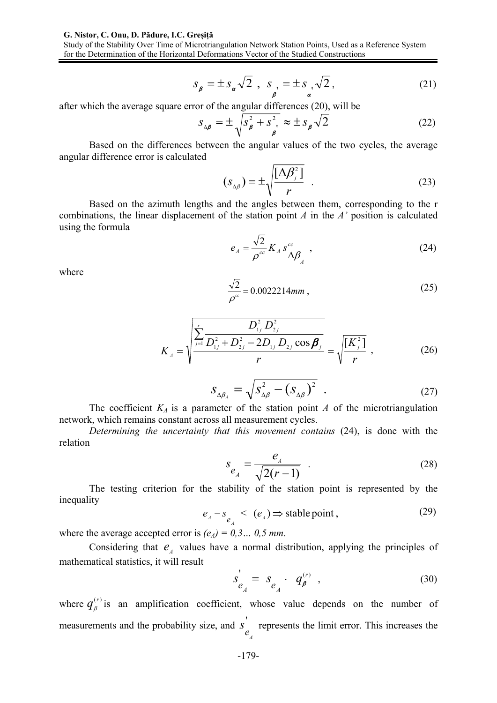#### **G. Nistor, C. Onu, D. Pădure, I.C. Greșiță**

Study of the Stability Over Time of Microtriangulation Network Station Points, Used as a Reference System for the Determination of the Horizontal Deformations Vector of the Studied Constructions

$$
s_{\rho} = \pm s_{\alpha} \sqrt{2} , s_{\rho} = \pm s_{\alpha} \sqrt{2} ,
$$
 (21)

after which the average square error of the angular differences (20), will be

$$
S_{\Delta\beta} = \pm \sqrt{S_{\beta}^2 + S_{\beta}^2} \approx \pm S_{\beta} \sqrt{2}
$$
 (22)

Based on the differences between the angular values of the two cycles, the average angular difference error is calculated

$$
(S_{\Delta\beta}) = \pm \sqrt{\frac{[\Delta\beta_j^2]}{r}} \quad . \tag{23}
$$

Based on the azimuth lengths and the angles between them, corresponding to the r combinations, the linear displacement of the station point *A* in the *A'* position is calculated using the formula

$$
e_A = \frac{\sqrt{2}}{\rho^{cc}} K_A s_{\Delta \beta}^{cc} , \qquad (24)
$$

where

$$
\frac{\sqrt{2}}{\rho^{\rm c}} = 0.0022214 \, \text{mm} \,, \tag{25}
$$

$$
K_{A} = \sqrt{\frac{\sum_{j=1}^{r} \frac{D_{1j}^{2} D_{2j}^{2}}{D_{1j}^{2} + D_{2j}^{2} - 2D_{1j} D_{2j} \cos \beta_{j}}{r}} = \sqrt{\frac{K_{j}^{2}}{r}},
$$
(26)

$$
S_{\Delta\beta_A} = \sqrt{S_{\Delta\beta}^2 - (S_{\Delta\beta})^2} \quad . \tag{27}
$$

The coefficient  $K_A$  is a parameter of the station point *A* of the microtriangulation network, which remains constant across all measurement cycles.

*Determining the uncertainty that this movement contains* (24), is done with the relation

$$
S_{e_{A}} = \frac{e_{A}}{\sqrt{2(r-1)}} \quad . \tag{28}
$$

The testing criterion for the stability of the station point is represented by the inequality

$$
e_{A} - s_{e_{A}} < (e_{A}) \Rightarrow \text{stable point}, \qquad (29)
$$

where the average accepted error is  $(e<sub>A</sub>) = 0,3...$  0,5 mm.

Considering that  $e_{\scriptscriptstyle{A}}$  values have a normal distribution, applying the principles of mathematical statistics, it will result

$$
s'_{e_A} = s_{e_A} \cdot q'^{(r)}_{\beta} \t\t(30)
$$

where  $q_{\beta}^{(r)}$  is an amplification coefficient, whose value depends on the number of measurements and the probability size, and  $s'$ *A e s* represents the limit error. This increases the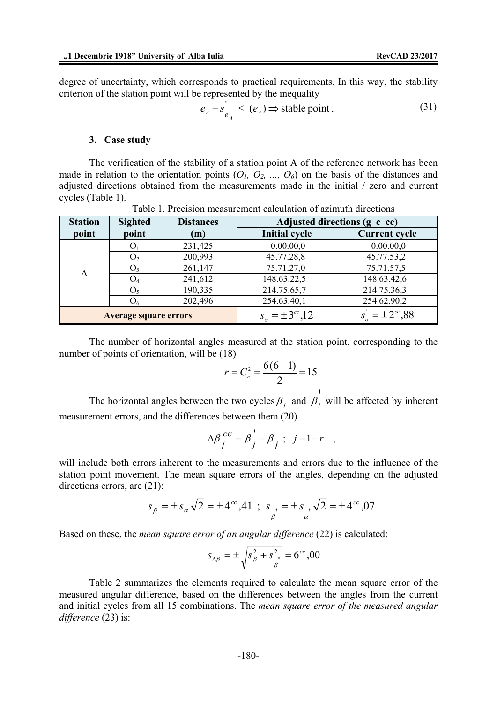degree of uncertainty, which corresponds to practical requirements. In this way, the stability criterion of the station point will be represented by the inequality

$$
e_{A} - s'_{e_{A}} < (e_{A}) \Rightarrow \text{stable point}.
$$
 (31)

#### **3. Case study**

The verification of the stability of a station point A of the reference network has been made in relation to the orientation points  $(O_1, O_2, ..., O_6)$  on the basis of the distances and adjusted directions obtained from the measurements made in the initial / zero and current cycles (Table 1).

| <b>Station</b>               | <b>Sighted</b> | <b>Distances</b> | Adjusted directions (g c cc)  |                        |  |
|------------------------------|----------------|------------------|-------------------------------|------------------------|--|
| point                        | point          | (m)              | <b>Initial cycle</b>          | <b>Current cycle</b>   |  |
| A                            | $\mathbf{O}$   | 231,425          | 0.00.00,0                     | 0.00.00,0              |  |
|                              | O,             | 200,993          | 45.77.28,8                    | 45.77.53,2             |  |
|                              | O <sub>3</sub> | 261,147          | 75.71.27,0                    | 75.71.57,5             |  |
|                              | $\mathrm{O}_4$ | 241,612          | 148.63.22,5                   | 148.63.42,6            |  |
|                              | Ō٢             | 190,335          | 214.75.65,7                   | 214.75.36,3            |  |
|                              | $O_6$          | 202,496          | 254.63.40,1                   | 254.62.90,2            |  |
| <b>Average square errors</b> |                |                  | $s_{\alpha} = \pm 3^{cc}, 12$ | $s_a = \pm 2^{cc}, 88$ |  |

Table 1. Precision measurement calculation of azimuth directions

The number of horizontal angles measured at the station point, corresponding to the number of points of orientation, will be (18)

$$
r = C_n^2 = \frac{6(6-1)}{2} = 15
$$

The horizontal angles between the two cycles  $\beta_j$  and  $\beta_j$  $\beta_j$  will be affected by inherent measurement errors, and the differences between them (20)

$$
\Delta \beta_j^{cc} = \beta_j - \beta_j \ ; \ j = \overline{1 - r} \ ,
$$

will include both errors inherent to the measurements and errors due to the influence of the station point movement. The mean square errors of the angles, depending on the adjusted directions errors, are (21):

$$
s_{\beta} = \pm s_{\alpha} \sqrt{2} = \pm 4^{\circ} \cdot 41 \ ; \ s_{\beta} = \pm s_{\alpha} \cdot \sqrt{2} = \pm 4^{\circ} \cdot 07
$$

Based on these, the *mean square error of an angular difference* (22) is calculated:

$$
s_{\Delta\beta} = \pm \sqrt{s_{\beta}^2 + s_{\beta}^2} = 6^{cc}, 00
$$

Table 2 summarizes the elements required to calculate the mean square error of the measured angular difference, based on the differences between the angles from the current and initial cycles from all 15 combinations. The *mean square error of the measured angular difference* (23) is: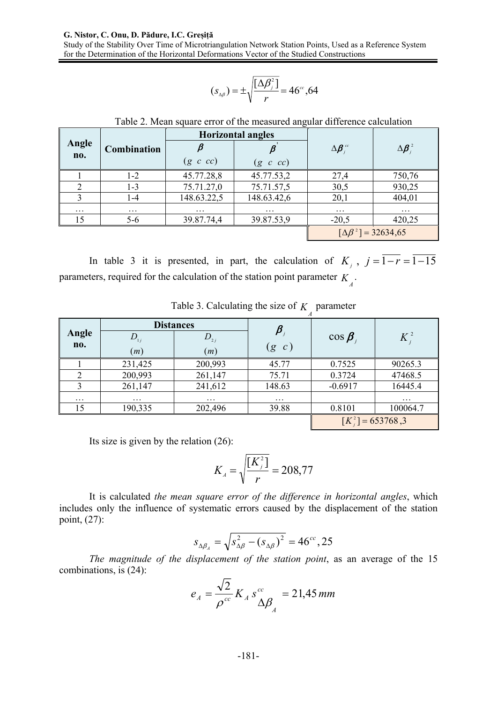#### **G. Nistor, C. Onu, D. Pădure, I.C. Greșiță**

Study of the Stability Over Time of Microtriangulation Network Station Points, Used as a Reference System for the Determination of the Horizontal Deformations Vector of the Studied Constructions

$$
(s_{\Delta\beta})=\pm\sqrt{\frac{[\Delta\beta_j^2]}{r}}=46^{\circ\circ},64
$$

|              | Combination | <b>Horizontal angles</b> |                                           |                   |                    |
|--------------|-------------|--------------------------|-------------------------------------------|-------------------|--------------------|
| Angle<br>no. |             |                          |                                           | $\Delta \beta$ or | $\Delta \beta_i^2$ |
|              |             | $(g \ c \ cc)$           | $(g \ c \ cc)$                            |                   |                    |
|              | 1-2         | 45.77.28,8               | 45.77.53,2                                | 27,4              | 750,76             |
|              | 1-3         | 75.71.27,0               | 75.71.57,5                                | 30,5              | 930,25             |
|              | $1 - 4$     | 148.63.22,5              | 148.63.42,6                               | 20,1              | 404,01             |
| $\cdots$     | $\cdots$    | $\cdots$                 | .                                         | $\cdots$          | $\cdots$           |
| 15           | $5 - 6$     | 39.87.74,4               | 39.87.53,9                                | $-20.5$           | 420,25             |
|              |             |                          | $\lceil \Delta \beta^2 \rceil = 32634,65$ |                   |                    |

Table 2. Mean square error of the measured angular difference calculation

In table 3 it is presented, in part, the calculation of  $K_i$ ,  $j = \overline{1 - r} = \overline{1 - 15}$ parameters, required for the calculation of the station point parameter  $K_{\hat{A}}$ .

| Angle    | <b>Distances</b> |                          | $\pmb{\beta}_{{}_{j}}$ |                      |          |
|----------|------------------|--------------------------|------------------------|----------------------|----------|
|          |                  | $D_{\overline{\imath}j}$ |                        | $\cos \beta$         | $K_i^2$  |
| no.      | (m)              | (m)                      | $\left(g\right)$<br>c) |                      |          |
|          | 231,425          | 200,993                  | 45.77                  | 0.7525               | 90265.3  |
|          | 200,993          | 261,147                  | 75.71                  | 0.3724               | 47468.5  |
|          | 261,147          | 241,612                  | 148.63                 | $-0.6917$            | 16445.4  |
| $\cdots$ | $\cdots$         | $\cdots$                 | $\cdots$               |                      | $\cdots$ |
| 15       | 190,335          | 202,496                  | 39.88                  | 0.8101               | 100064.7 |
|          |                  |                          |                        | $[K_i^2] = 653768,3$ |          |

Table 3. Calculating the size of  $K_A$  parameter

Its size is given by the relation (26):

$$
K_{A} = \sqrt{\frac{[K_{j}^{2}]}{r}} = 208,77
$$

It is calculated *the mean square error of the difference in horizontal angles*, which includes only the influence of systematic errors caused by the displacement of the station point, (27):

$$
s_{\Delta\beta_A} = \sqrt{s_{\Delta\beta}^2 - (s_{\Delta\beta})^2} = 46^{cc}, 25
$$

*The magnitude of the displacement of the station point*, as an average of the 15 combinations, is (24):

$$
e_A = \frac{\sqrt{2}}{\rho^{cc}} K_A s_{\Delta \beta}^{cc} = 21,45 \, \text{mm}
$$